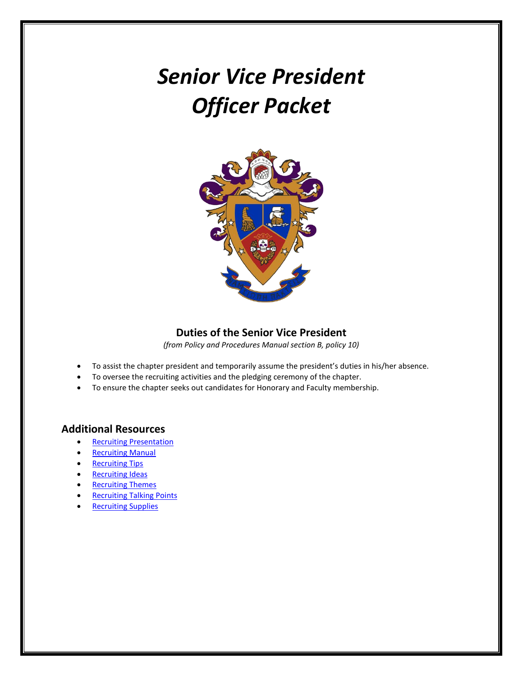# *Senior Vice President Officer Packet*



## **Duties of the Senior Vice President**

*(from Policy and Procedures Manual section B, policy 10)*

- To assist the chapter president and temporarily assume the president's duties in his/her absence.
- To oversee the recruiting activities and the pledging ceremony of the chapter.
- To ensure the chapter seeks out candidates for Honorary and Faculty membership.

## **Additional Resources**

- [Recruiting Presentation](https://dsp.adobeconnect.com/recruiting/)
- [Recruiting Manual](https://www.deltasigmapi.org/docs/default-source/resources/recruiting.pdf)
- [Recruiting Tips](https://www.deltasigmapi.org/docs/default-source/resources/handouts/reallygoodrecruiting.pdf?)
- [Recruiting Ideas](https://www.deltasigmapi.org/docs/default-source/resources/handouts/recruitingideas.pdf)
- [Recruiting Themes](https://www.deltasigmapi.org/docs/default-source/resources/handouts/recruitingthemes.pdf)
- [Recruiting Talking Points](https://www.deltasigmapi.org/docs/default-source/resources/handouts/canhelpdecide.pdf)
- [Recruiting Supplies](https://www.deltasigmapi.org/deltasig-shop/products/-in-department/departments/collegiate-chapter-resources)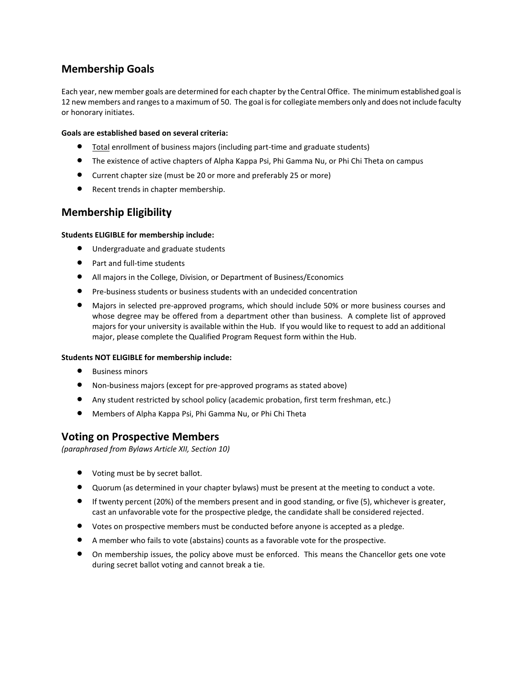# **Membership Goals**

Each year, new member goals are determined for each chapter by the Central Office. The minimum established goal is 12 new members and ranges to a maximum of 50. The goal is for collegiate members only and does not include faculty or honorary initiates.

#### **Goals are established based on several criteria:**

- Total enrollment of business majors (including part-time and graduate students)
- The existence of active chapters of Alpha Kappa Psi, Phi Gamma Nu, or Phi Chi Theta on campus
- Current chapter size (must be 20 or more and preferably 25 or more)
- Recent trends in chapter membership.

## **Membership Eligibility**

#### **Students ELIGIBLE for membership include:**

- Undergraduate and graduate students
- Part and full-time students
- All majors in the College, Division, or Department of Business/Economics
- Pre-business students or business students with an undecided concentration
- Majors in selected pre-approved programs, which should include 50% or more business courses and whose degree may be offered from a department other than business. A complete list of approved majors for your university is available within the Hub. If you would like to request to add an additional major, please complete the Qualified Program Request form within the Hub.

#### **Students NOT ELIGIBLE for membership include:**

- Business minors
- Non-business majors (except for pre-approved programs as stated above)
- Any student restricted by school policy (academic probation, first term freshman, etc.)
- Members of Alpha Kappa Psi, Phi Gamma Nu, or Phi Chi Theta

## **Voting on Prospective Members**

*(paraphrased from Bylaws Article XII, Section 10)*

- Voting must be by secret ballot.
- Quorum (as determined in your chapter bylaws) must be present at the meeting to conduct a vote.
- If twenty percent (20%) of the members present and in good standing, or five (5), whichever is greater, cast an unfavorable vote for the prospective pledge, the candidate shall be considered rejected.
- Votes on prospective members must be conducted before anyone is accepted as a pledge.
- A member who fails to vote (abstains) counts as a favorable vote for the prospective.
- On membership issues, the policy above must be enforced. This means the Chancellor gets one vote during secret ballot voting and cannot break a tie.